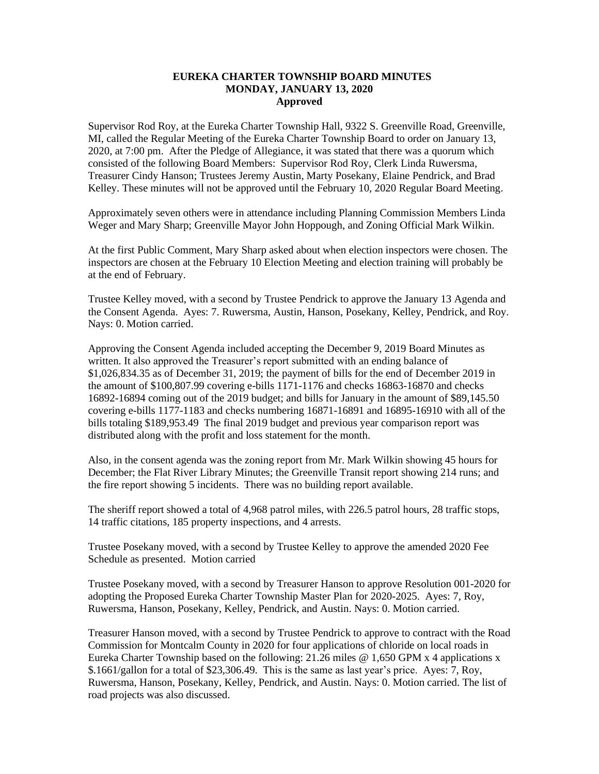## **EUREKA CHARTER TOWNSHIP BOARD MINUTES MONDAY, JANUARY 13, 2020 Approved**

Supervisor Rod Roy, at the Eureka Charter Township Hall, 9322 S. Greenville Road, Greenville, MI, called the Regular Meeting of the Eureka Charter Township Board to order on January 13, 2020, at 7:00 pm. After the Pledge of Allegiance, it was stated that there was a quorum which consisted of the following Board Members: Supervisor Rod Roy, Clerk Linda Ruwersma, Treasurer Cindy Hanson; Trustees Jeremy Austin, Marty Posekany, Elaine Pendrick, and Brad Kelley. These minutes will not be approved until the February 10, 2020 Regular Board Meeting.

Approximately seven others were in attendance including Planning Commission Members Linda Weger and Mary Sharp; Greenville Mayor John Hoppough, and Zoning Official Mark Wilkin.

At the first Public Comment, Mary Sharp asked about when election inspectors were chosen. The inspectors are chosen at the February 10 Election Meeting and election training will probably be at the end of February.

Trustee Kelley moved, with a second by Trustee Pendrick to approve the January 13 Agenda and the Consent Agenda. Ayes: 7. Ruwersma, Austin, Hanson, Posekany, Kelley, Pendrick, and Roy. Nays: 0. Motion carried.

Approving the Consent Agenda included accepting the December 9, 2019 Board Minutes as written. It also approved the Treasurer's report submitted with an ending balance of \$1,026,834.35 as of December 31, 2019; the payment of bills for the end of December 2019 in the amount of \$100,807.99 covering e-bills 1171-1176 and checks 16863-16870 and checks 16892-16894 coming out of the 2019 budget; and bills for January in the amount of \$89,145.50 covering e-bills 1177-1183 and checks numbering 16871-16891 and 16895-16910 with all of the bills totaling \$189,953.49The final 2019 budget and previous year comparison report was distributed along with the profit and loss statement for the month.

Also, in the consent agenda was the zoning report from Mr. Mark Wilkin showing 45 hours for December; the Flat River Library Minutes; the Greenville Transit report showing 214 runs; and the fire report showing 5 incidents. There was no building report available.

The sheriff report showed a total of 4,968 patrol miles, with 226.5 patrol hours, 28 traffic stops, 14 traffic citations, 185 property inspections, and 4 arrests.

Trustee Posekany moved, with a second by Trustee Kelley to approve the amended 2020 Fee Schedule as presented. Motion carried

Trustee Posekany moved, with a second by Treasurer Hanson to approve Resolution 001-2020 for adopting the Proposed Eureka Charter Township Master Plan for 2020-2025. Ayes: 7, Roy, Ruwersma, Hanson, Posekany, Kelley, Pendrick, and Austin. Nays: 0. Motion carried.

Treasurer Hanson moved, with a second by Trustee Pendrick to approve to contract with the Road Commission for Montcalm County in 2020 for four applications of chloride on local roads in Eureka Charter Township based on the following: 21.26 miles @ 1,650 GPM x 4 applications x \$.1661/gallon for a total of \$23,306.49. This is the same as last year's price. Ayes: 7, Roy, Ruwersma, Hanson, Posekany, Kelley, Pendrick, and Austin. Nays: 0. Motion carried. The list of road projects was also discussed.